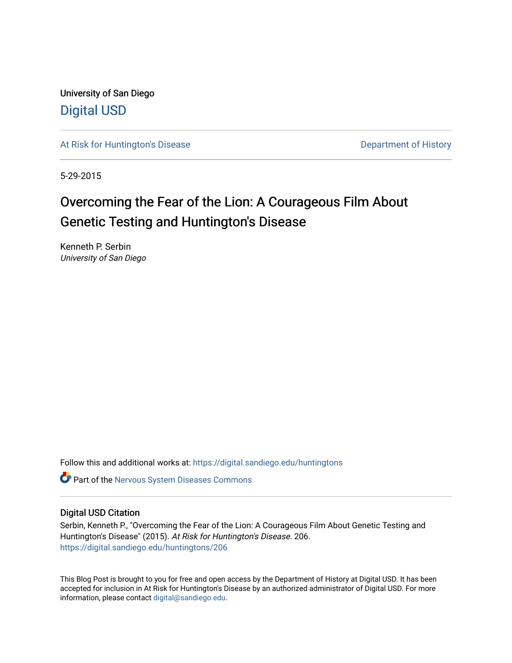University of San Diego [Digital USD](https://digital.sandiego.edu/)

[At Risk for Huntington's Disease](https://digital.sandiego.edu/huntingtons) **Department of History** Department of History

5-29-2015

## Overcoming the Fear of the Lion: A Courageous Film About Genetic Testing and Huntington's Disease

Kenneth P. Serbin University of San Diego

Follow this and additional works at: [https://digital.sandiego.edu/huntingtons](https://digital.sandiego.edu/huntingtons?utm_source=digital.sandiego.edu%2Fhuntingtons%2F206&utm_medium=PDF&utm_campaign=PDFCoverPages)

**C** Part of the [Nervous System Diseases Commons](http://network.bepress.com/hgg/discipline/928?utm_source=digital.sandiego.edu%2Fhuntingtons%2F206&utm_medium=PDF&utm_campaign=PDFCoverPages)

### Digital USD Citation

Serbin, Kenneth P., "Overcoming the Fear of the Lion: A Courageous Film About Genetic Testing and Huntington's Disease" (2015). At Risk for Huntington's Disease. 206. [https://digital.sandiego.edu/huntingtons/206](https://digital.sandiego.edu/huntingtons/206?utm_source=digital.sandiego.edu%2Fhuntingtons%2F206&utm_medium=PDF&utm_campaign=PDFCoverPages)

This Blog Post is brought to you for free and open access by the Department of History at Digital USD. It has been accepted for inclusion in At Risk for Huntington's Disease by an authorized administrator of Digital USD. For more information, please contact [digital@sandiego.edu.](mailto:digital@sandiego.edu)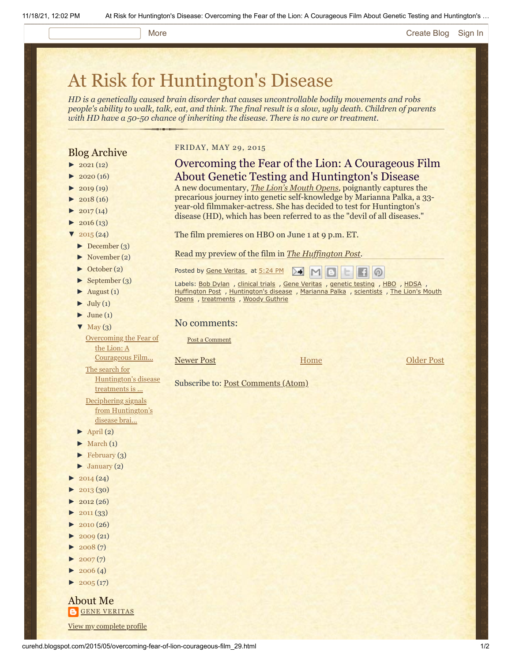#### More **[Create Blog](https://www.blogger.com/home#create) [Sign In](https://www.blogger.com/)**

# [At Risk for Huntington's Disease](http://curehd.blogspot.com/)

*HD is a genetically caused brain disorder that causes uncontrollable bodily movements and robs people's ability to walk, talk, eat, and think. The final result is a slow, ugly death. Children of parents with HD have a 50-50 chance of inheriting the disease. There is no cure or treatment.*

## Blog Archive

- $\blacktriangleright$  [2021](http://curehd.blogspot.com/2021/) (12)
- $2020(16)$  $2020(16)$
- $2019(19)$  $2019(19)$
- $2018(16)$  $2018(16)$
- $2017(14)$  $2017(14)$
- $2016(13)$  $2016(13)$
- $\frac{1}{2015}(24)$  $\frac{1}{2015}(24)$  $\frac{1}{2015}(24)$
- [►](javascript:void(0)) [December](http://curehd.blogspot.com/2015/12/) (3)
- [►](javascript:void(0)) [November](http://curehd.blogspot.com/2015/11/) (2)
- [►](javascript:void(0)) [October](http://curehd.blogspot.com/2015/10/) (2)
- [►](javascript:void(0)) [September](http://curehd.blogspot.com/2015/09/) (3)
- $\blacktriangleright$  [August](http://curehd.blogspot.com/2015/08/) (1)
- $\blacktriangleright$  [July](http://curehd.blogspot.com/2015/07/) (1)
- $\blacktriangleright$  [June](http://curehd.blogspot.com/2015/06/) (1)
- $\blacktriangledown$  [May](http://curehd.blogspot.com/2015/05/) (3)

[Overcoming](http://curehd.blogspot.com/2015/05/overcoming-fear-of-lion-courageous-film_29.html) the Fear of the Lion: A

Courageous Film... The search for

[Huntington's](http://curehd.blogspot.com/2015/05/the-search-for-hd-treatments-is-indeed.html) disease treatments is ... Deciphering signals

from [Huntington's](http://curehd.blogspot.com/2015/05/deciphering-signals-from-huntingtons.html) disease brai...

- $\blacktriangleright$  [April](http://curehd.blogspot.com/2015/04/) (2)
- $\blacktriangleright$  [March](http://curehd.blogspot.com/2015/03/)  $(1)$
- $\blacktriangleright$  [February](http://curehd.blogspot.com/2015/02/) (3)
- $\blacktriangleright$  [January](http://curehd.blogspot.com/2015/01/) (2)
- $2014(24)$  $2014(24)$
- $2013(30)$  $2013(30)$
- $2012(26)$  $2012(26)$
- $2011(33)$  $2011(33)$
- $2010(26)$  $2010(26)$
- $2009(21)$  $2009(21)$
- $2008(7)$  $2008(7)$
- $\blacktriangleright$  [2007](http://curehd.blogspot.com/2007/) $(7)$
- $\blacktriangleright$  [2006](http://curehd.blogspot.com/2006/) (4)
- $\blacktriangleright$  [2005](http://curehd.blogspot.com/2005/) (17)

About Me **GENE [VERITAS](https://www.blogger.com/profile/10911736205741688185)** View my [complete](https://www.blogger.com/profile/10911736205741688185) profile

#### FRIDAY, MAY 29, 2015

## Overcoming the Fear of the Lion: A Courageous Film About Genetic Testing and Huntington's Disease

A new documentary, *[The Lion's Mouth Opens](http://www.lucywalkerfilm.com/THE-LION-S-MOUTH-OPENS),* poignantly captures the precarious journey into genetic self-knowledge by Marianna Palka, a 33 year-old filmmaker-actress. She has decided to test for Huntington's disease (HD), which has been referred to as the "devil of all diseases."

The film premieres on HBO on June 1 at 9 p.m. ET.

Read my preview of the film in *[The Huffington Post](http://huff.to/1AzwgzM).*

Posted by Gene [Veritas](https://www.blogger.com/profile/03599828959793084715) at [5:24](http://curehd.blogspot.com/2015/05/overcoming-fear-of-lion-courageous-film_29.html) PM ▷€ MID  $\circ$ 

Labels: Bob [Dylan](http://curehd.blogspot.com/search/label/Bob%20Dylan) , [clinical](http://curehd.blogspot.com/search/label/clinical%20trials) trials , Gene [Veritas](http://curehd.blogspot.com/search/label/Gene%20Veritas) , [genetic](http://curehd.blogspot.com/search/label/genetic%20testing) testing , [HBO](http://curehd.blogspot.com/search/label/HBO) , [HDSA](http://curehd.blogspot.com/search/label/HDSA) , [Huffington](http://curehd.blogspot.com/search/label/Huffington%20Post) Post , [Huntington's](http://curehd.blogspot.com/search/label/Huntington%27s%20disease) disease , [Marianna](http://curehd.blogspot.com/search/label/Marianna%20Palka) Palka , [scientists](http://curehd.blogspot.com/search/label/scientists) , The Lion's Mouth Opens , [treatments](http://curehd.blogspot.com/search/label/treatments) , Woody [Guthrie](http://curehd.blogspot.com/search/label/Woody%20Guthrie)

No comments:

Post a [Comment](https://www.blogger.com/comment.g?blogID=10081281&postID=3476915531878377388&isPopup=true)

#### [Newer Post](http://curehd.blogspot.com/2015/06/unraveling-mysteries-of-mitochondria-in.html) **Now Community Home [Older Post](http://curehd.blogspot.com/2015/05/the-search-for-hd-treatments-is-indeed.html)**

**[Home](http://curehd.blogspot.com/)** 

Subscribe to: [Post Comments \(Atom\)](http://curehd.blogspot.com/feeds/3476915531878377388/comments/default)